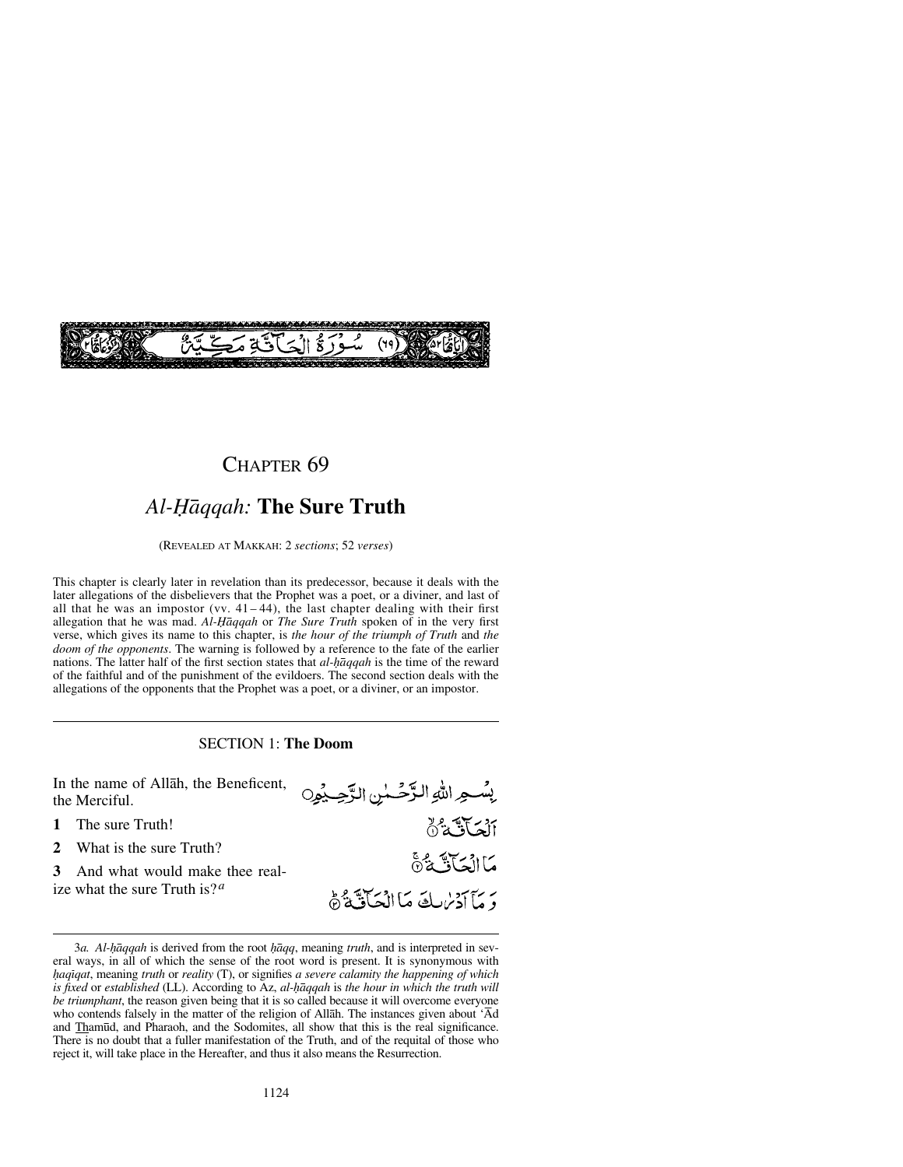

### CHAPTER<sub>69</sub>

# *Al-Ïåqqah:* **The Sure Truth**

(REVEALED AT MAKKAH: 2 *sections*; 52 *verses*)

This chapter is clearly later in revelation than its predecessor, because it deals with the later allegations of the disbelievers that the Prophet was a poet, or a diviner, and last of all that he was an impostor (vv.  $41-44$ ), the last chapter dealing with their first allegation that he was mad. *Al-Ïåqqah* or *The Sure Truth* spoken of in the very first verse, which gives its name to this chapter, is *the hour of the triumph of Truth* and *the doom of the opponents*. The warning is followed by a reference to the fate of the earlier nations. The latter half of the first section states that *al-haqqah* is the time of the reward of the faithful and of the punishment of the evildoers. The second section deals with the allegations of the opponents that the Prophet was a poet, or a diviner, or an impostor.

#### SECTION 1: **The Doom**



<sup>3</sup>*a. Al-hāqqah* is derived from the root *hāqq*, meaning *truth*, and is interpreted in several ways, in all of which the sense of the root word is present. It is synonymous with *√aqßqat*, meaning *truth* or *reality* (T), or signifies *a severe calamity the happening of which is fixed* or *established* (LL). According to Az, *al-Ìqqah* is *the hour in which the truth will be triumphant*, the reason given being that it is so called because it will overcome everyone who contends falsely in the matter of the religion of Allåh. The instances given about 'Åd and Tham∂d, and Pharaoh, and the Sodomites, all show that this is the real significance. There is no doubt that a fuller manifestation of the Truth, and of the requital of those who reject it, will take place in the Hereafter, and thus it also means the Resurrection.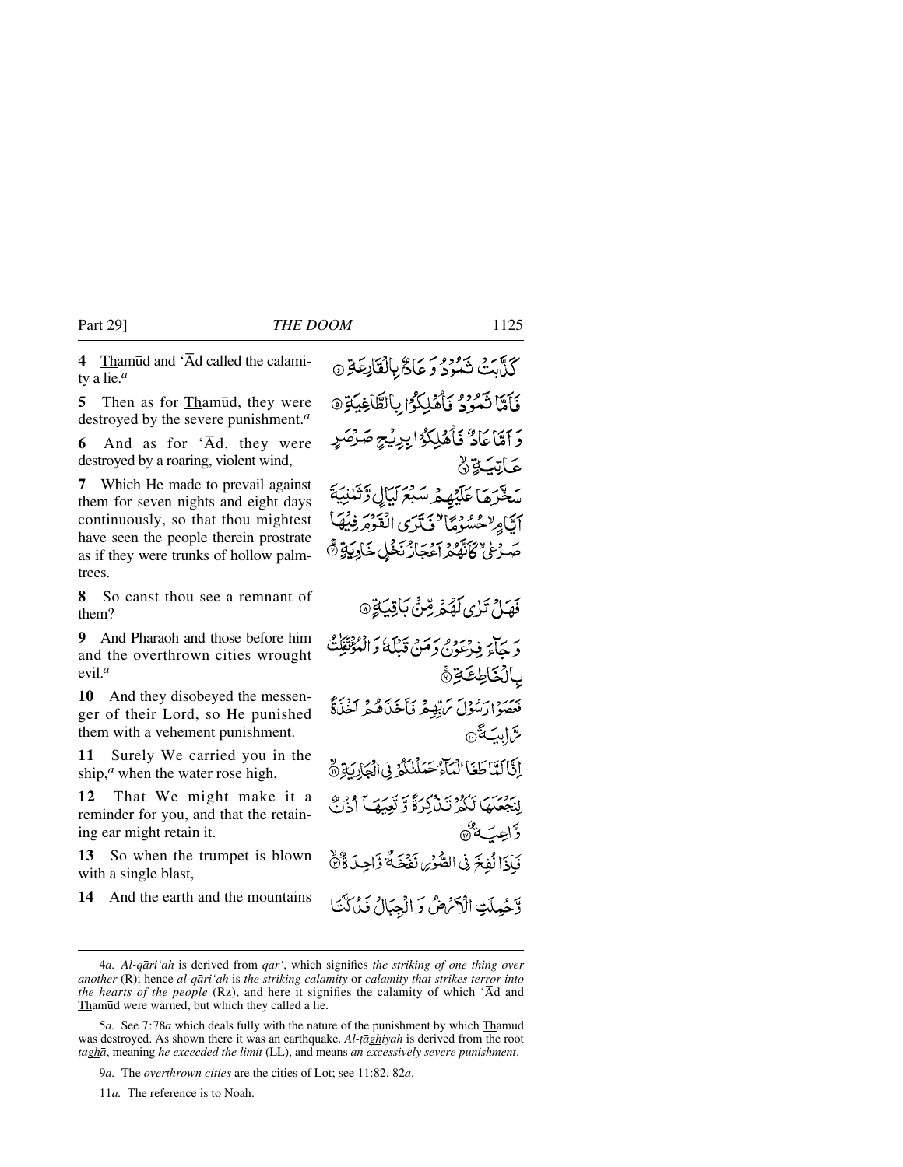**4** Tham∂d and 'Åd called the calamity a lie.*<sup>a</sup>*

**5** Then as for Tham∂d, they were destroyed by the severe punishment.*<sup>a</sup>*

**6** And as for 'Ad, they were destroyed by a roaring, violent wind,

**7** Which He made to prevail against them for seven nights and eight days continuously, so that thou mightest have seen the people therein prostrate as if they were trunks of hollow palmtrees.

**8** So canst thou see a remnant of them?

**9** And Pharaoh and those before him and the overthrown cities wrought evil.*<sup>a</sup>*

**10** And they disobeyed the messenger of their Lord, so He punished them with a vehement punishment.

**11** Surely We carried you in the ship,<sup>*a*</sup> when the water rose high,

**12** That We might make it a reminder for you, and that the retaining ear might retain it.

**13** So when the trumpet is blown with a single blast,

**14** And the earth and the mountains

كَذَّبَتْ تَمُودُ وَ عَادٌ بِالْقَانِعَةِ ۞ فَأَمَّا نَمُوْدُ فَأَهْلِكُوْا بِالطَّاغِيَةِ ٥ دَ آمَّاً عَادٌ فَأَهْلِكُوْا بِرِيْجِ صَرْهَ عَاتِبَةِ۞ سقرها عَلَيْهِهِمْ سَبْعَ لَيَالٍ دَّنَنَا أَتَّامِرٌ حُسُّوْمًا ۚ فَتَرَى الْقَوْمَرِ فِيُهَا صَّهْءُ كَأَنَّهُمْ آءَ مَازُنَخْلِ خَادِيَةٍ ۞ فَهَيْلٌ تَذِي كَفَجْهِ مِّنْيُ بَاقِيَةٍ۞ دَيْجَاءَ فِيْءَوْمِ دِمَيْنِ قَبْلَةُ دَالْمُؤْتَفِكُ بالكاطِعَةِ أَ بِيَسِيرُدِ مِدْوِنٍ مُ بِّهِيمٍ فَأَخِيرُهُ فِي مَجْرَبَةٌ سَّابِبَةَ @ إِنَّا لَعَا طَغَا الْمَآءُ حَمَلْنَكُمْ فِي الْجَارِيَةِ ۞ لِنَجْعَلَهَا لَكُمْ تَبِذْكِرَةً وَ تَعْبَقَهِ ۚ أَذۡرَبُّ ۖ وَّاعِبَةٌ® فَإِذَا نُفِخَ فِي الصُّوْسِ نَفْخَةٌ وَّاحِدَةٌ وَّ وَّحُمِلَتِ الْأَكْرَضُ وَ الْجِبَالُ فَيُرَكَّنَا

<sup>4</sup>*a. Al-qåri'ah* is derived from *qar'*, which signifies *the striking of one thing over another* (R); hence *al-qåri'ah* is *the striking calamity* or *calamity that strikes terror into the hearts of the people* (Rz), and here it signifies the calamity of which  $\hat{A}d$  and Thamūd were warned, but which they called a lie.

<sup>5</sup>*a.* See 7:78*a* which deals fully with the nature of the punishment by which Tham∂d was destroyed. As shown there it was an earthquake. *Al-tāghiyah* is derived from the root *∆aghå*, meaning *he exceeded the limit* (LL), and means *an excessively severe punishment*.

<sup>9</sup>*a.* The *overthrown cities* are the cities of Lot; see 11:82, 82*a*.

<sup>11</sup>*a.* The reference is to Noah.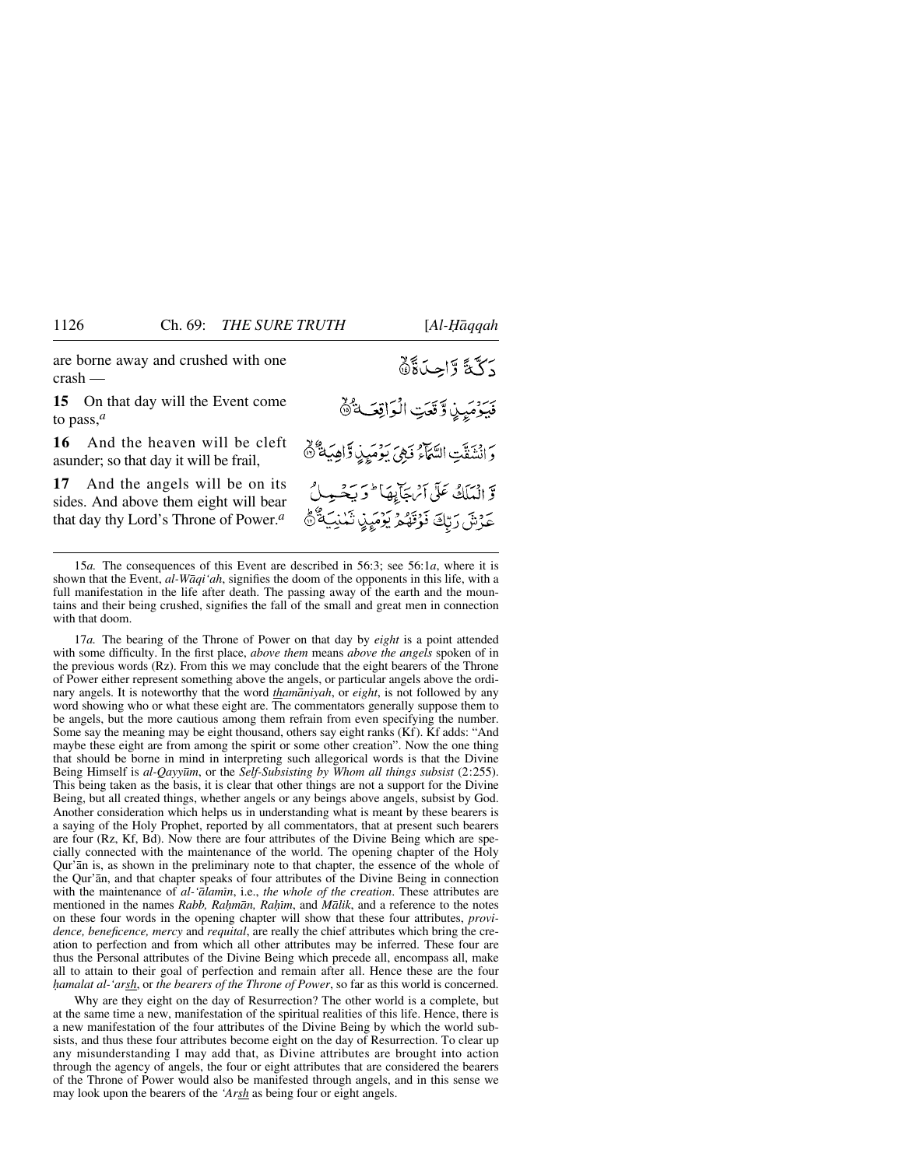are borne away and crushed with one crash —

**15** On that day will the Event come to pass,*<sup>a</sup>*

**16** And the heaven will be cleft asunder; so that day it will be frail,

**17** And the angels will be on its sides. And above them eight will bear that day thy Lord's Throne of Power.*<sup>a</sup>*

دَكَّةً وَّاحِدَةً فَيَؤْمَيِنِ وَقَعَتِ الْوَاقِفَةُ دَ انْتَنَقَّتِ السَّمَاءُ فَهِيَ بِدِْمَيِنِ وَّاهِيَةٌ ۚ ۞ وَّ الْمَلَكُ عَلَى آئِهَجَائِيهَا ۖ وَيَحْهَ حَرْشَ رَبِّكَ فَوَقَهُمْ يَوْمَيِنِ تَمْنِيَةٌ ﴾

15*a.* The consequences of this Event are described in 56:3; see 56:1*a*, where it is shown that the Event, *al-Wåqi'ah*, signifies the doom of the opponents in this life, with a full manifestation in the life after death. The passing away of the earth and the mountains and their being crushed, signifies the fall of the small and great men in connection with that doom.

17*a.* The bearing of the Throne of Power on that day by *eight* is a point attended with some difficulty. In the first place, *above them* means *above the angels* spoken of in the previous words (Rz). From this we may conclude that the eight bearers of the Throne of Power either represent something above the angels, or particular angels above the ordinary angels. It is noteworthy that the word *thamåniyah*, or *eight*, is not followed by any word showing who or what these eight are. The commentators generally suppose them to be angels, but the more cautious among them refrain from even specifying the number. Some say the meaning may be eight thousand, others say eight ranks (Kf). Kf adds: "And maybe these eight are from among the spirit or some other creation". Now the one thing that should be borne in mind in interpreting such allegorical words is that the Divine Being Himself is *al-Qayy∂m*, or the *Self-Subsisting by Whom all things subsist* (2:255). This being taken as the basis, it is clear that other things are not a support for the Divine Being, but all created things, whether angels or any beings above angels, subsist by God. Another consideration which helps us in understanding what is meant by these bearers is a saying of the Holy Prophet, reported by all commentators, that at present such bearers are four (Rz, Kf, Bd). Now there are four attributes of the Divine Being which are specially connected with the maintenance of the world. The opening chapter of the Holy Qur'ån is, as shown in the preliminary note to that chapter, the essence of the whole of the Qur'ån, and that chapter speaks of four attributes of the Divine Being in connection with the maintenance of *al-'ālamīn*, i.e., *the whole of the creation*. These attributes are mentioned in the names *Rabb, Raḥmān, Raḥīm*, and *Mālik*, and a reference to the notes on these four words in the opening chapter will show that these four attributes, *providence, beneficence, mercy* and *requital*, are really the chief attributes which bring the creation to perfection and from which all other attributes may be inferred. These four are thus the Personal attributes of the Divine Being which precede all, encompass all, make all to attain to their goal of perfection and remain after all. Hence these are the four *√amalat al-'arsh*, or *the bearers of the Throne of Power*, so far as this world is concerned.

Why are they eight on the day of Resurrection? The other world is a complete, but at the same time a new, manifestation of the spiritual realities of this life. Hence, there is a new manifestation of the four attributes of the Divine Being by which the world subsists, and thus these four attributes become eight on the day of Resurrection. To clear up any misunderstanding I may add that, as Divine attributes are brought into action through the agency of angels, the four or eight attributes that are considered the bearers of the Throne of Power would also be manifested through angels, and in this sense we may look upon the bearers of the *'Arsh* as being four or eight angels.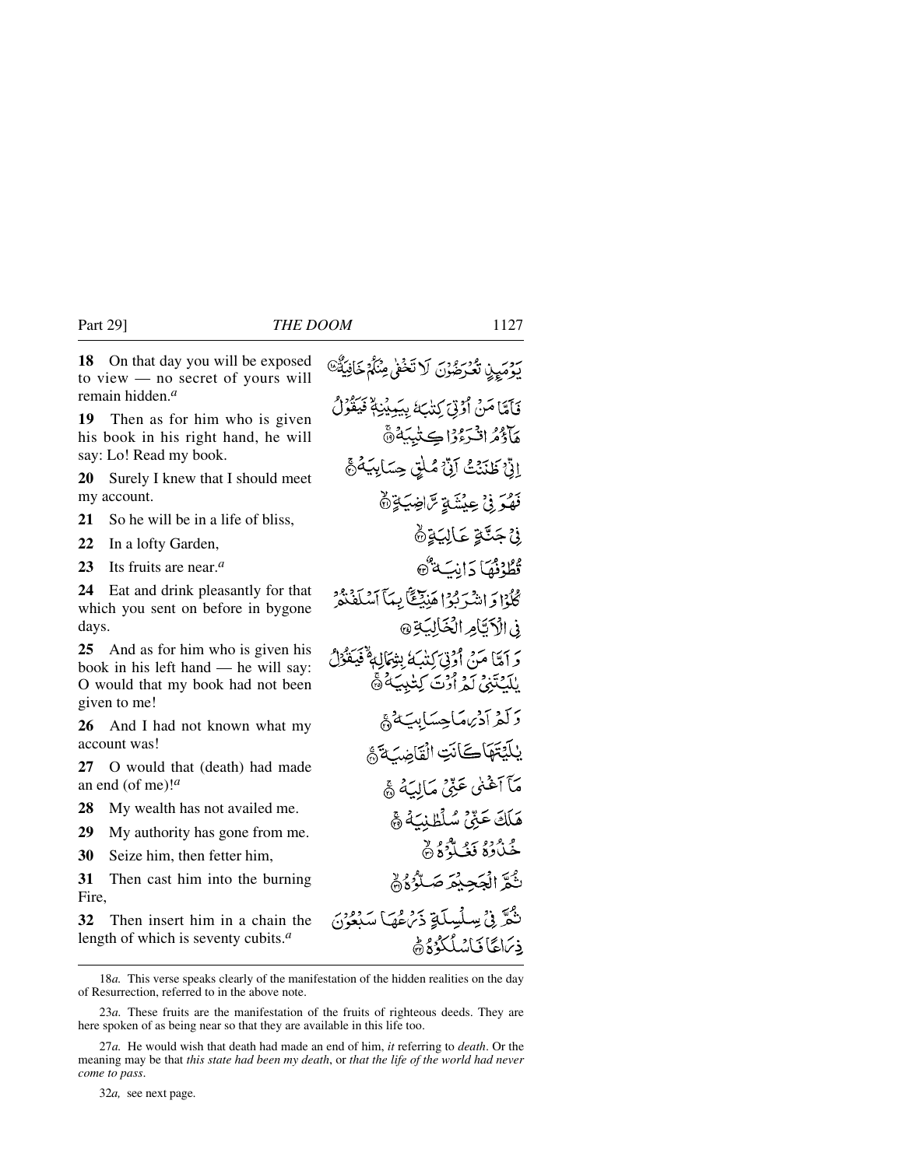**18** On that day you will be exposed to view — no secret of yours will remain hidden.*<sup>a</sup>*

**19** Then as for him who is given his book in his right hand, he will say: Lo! Read my book.

**20** Surely I knew that I should meet my account.

**21** So he will be in a life of bliss,

**22** In a lofty Garden,

**23** Its fruits are near.*<sup>a</sup>*

**24** Eat and drink pleasantly for that which you sent on before in bygone days.

**25** And as for him who is given his book in his left hand — he will say: O would that my book had not been given to me!

**26** And I had not known what my account was!

**27** O would that (death) had made an end (of me)!*<sup>a</sup>*

**28** My wealth has not availed me.

**29** My authority has gone from me.

**30** Seize him, then fetter him,

**31** Then cast him into the burning Fire,

**32** Then insert him in a chain the length of which is seventy cubits.*<sup>a</sup>*

فَأَمَّامَنْ أَوْتَى كِتْبَةَ بِيَبِيْنِهُمْ فَيَقُوْلُ هَآَذَهُ انْسَوْدَاڪِتِيبَةُ۞ الَّ ۚ ظَنَنۡتُ ۚ آنَّ مُلْقِ حِسَابِيَٰهُ ۖ ﴾ فَهْدَ فِيْ عِنْشَةٍ تَرَاضِيَةٍ ثَمَّ **نْ جَتَّةٍ عَالِيَةٍ۞** ثَطُّدْفُهَا دَانِبَهُ هُ كْݣُوْا دَ اشْيَرْبُوْا هَنِيْتَنَّا بِيَآ ٱسْلَفْنَةُرْ في الْأَتَامِ الْخَالِبَةِ @ وَ أَمَّا مَنْ أَوْتِيَ كِتَبَ يُتِوَمَالِهِ فَيَعْوُلُ بْلَيْكَتّْنِي لَمْ أَرْتَ كِتْبِيَةُ ۞ دَكَّهُ أَدْيُهَمَاجِسَابِيَّةُ هَيْ يلَيْتَهَاكَانَتِ الْقَاضِيَةَ ﴾ مَآ آَغۡنٰی عَنِّیۡ مَالِیَهُ ﴾ هَلَكَ عَنِّيُّ سُلْطُنِيَّهُ ﴾ خُلُادَةُ فَغُيَّاتٌوَ وَ يثُمَّ الْحَجِبْعَ صَبِّلُهُ وَلَمْ نْݣُرّْ فِي سِلْسِلَّةِ ذَيْنَ هُمَا سَنْعُونَ فِيَهَا فَانْسُلُكُوْ وَهُ

*كَوْمَيِ*نْ تَعْرَضُوْنَ لَا تَخْفِي مِنْكُمْ خَافِيَةٌ ﴾

18*a.* This verse speaks clearly of the manifestation of the hidden realities on the day of Resurrection, referred to in the above note.

23*a.* These fruits are the manifestation of the fruits of righteous deeds. They are here spoken of as being near so that they are available in this life too.

32*a,* see next page.

<sup>27</sup>*a.* He would wish that death had made an end of him, *it* referring to *death*. Or the meaning may be that *this state had been my death*, or *that the life of the world had never come to pass*.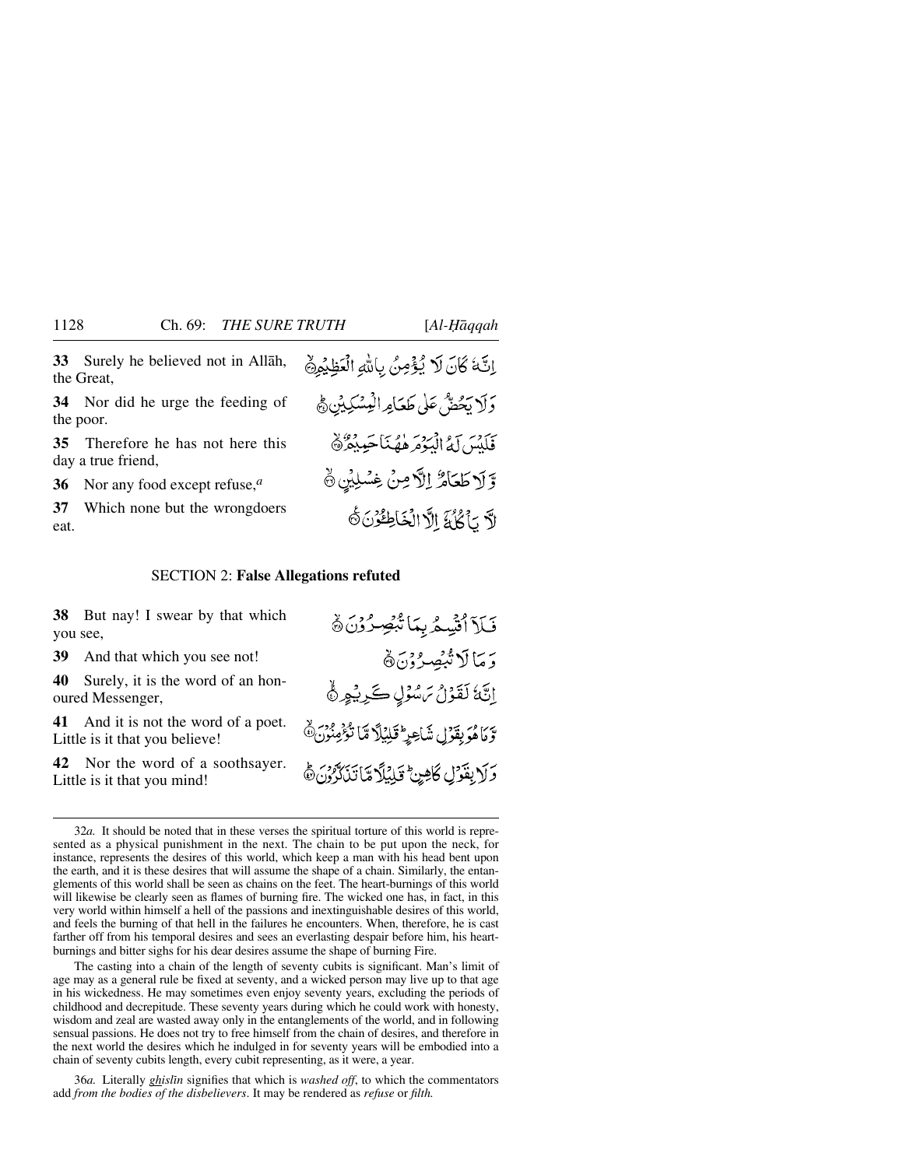**33** Surely he believed not in Allåh, the Great,

**34** Nor did he urge the feeding of the poor.

**35** Therefore he has not here this day a true friend,

**36** Nor any food except refuse,*<sup>a</sup>*

**37** Which none but the wrongdoers eat.

#### SECTION 2: **False Allegations refuted**

**38** But nay! I swear by that which you see,

**39** And that which you see not!

**40** Surely, it is the word of an honoured Messenger,

**41** And it is not the word of a poet. Little is it that you believe!

**42** Nor the word of a soothsayer. Little is it that you mind!

فَلَآ ٱلۡيَّسِمُّ بِمَا تَّبۡصِرُوۡنَ ﴾ وَ مَا لَا تُنْصِرُوْنَ۞ إِنَّهُ لَقَوْلُ مَسْوُلٍ كَرِيْهِرٍ ﴾ وّْ مَاهُوَ بِقَوۡ لِ شَاْعِيرَ ۖ قَلۡنَٰلَآ مَّآ تُؤۡمِنُونَ ﴾ وَلَا بِقَوْلِ كَاهِنٍ كَيْلِيْلًا مَّا تَذَكَّرُونَ هَ

اِنَّةَ كَانَ لَا يُؤْمِنُ بِاللهِ الْعَظِيْرِي

دَلَا بَحْضٌ عَلَى طَعَامِرالْمِسْكِيثِنِ﴾

فَلَلْبَيْنَ لَمُّ الْبَوْمَ هُهُنَاجَبِدِهِ ۞

وَّ لَا طَعَامٌ إِلَّا مِنْ غِسْلِيْنِ ﴾

لَّا يَأْكُلُ } الَّا الْخَاطِئُونَ ثَ

32*a.* It should be noted that in these verses the spiritual torture of this world is represented as a physical punishment in the next. The chain to be put upon the neck, for instance, represents the desires of this world, which keep a man with his head bent upon the earth, and it is these desires that will assume the shape of a chain. Similarly, the entanglements of this world shall be seen as chains on the feet. The heart-burnings of this world will likewise be clearly seen as flames of burning fire. The wicked one has, in fact, in this very world within himself a hell of the passions and inextinguishable desires of this world, and feels the burning of that hell in the failures he encounters. When, therefore, he is cast farther off from his temporal desires and sees an everlasting despair before him, his heartburnings and bitter sighs for his dear desires assume the shape of burning Fire.

The casting into a chain of the length of seventy cubits is significant. Man's limit of age may as a general rule be fixed at seventy, and a wicked person may live up to that age in his wickedness. He may sometimes even enjoy seventy years, excluding the periods of childhood and decrepitude. These seventy years during which he could work with honesty, wisdom and zeal are wasted away only in the entanglements of the world, and in following sensual passions. He does not try to free himself from the chain of desires, and therefore in the next world the desires which he indulged in for seventy years will be embodied into a chain of seventy cubits length, every cubit representing, as it were, a year.

36*a.* Literally *ghislßn* signifies that which is *washed off*, to which the commentators add *from the bodies of the disbelievers*. It may be rendered as *refuse* or *filth.*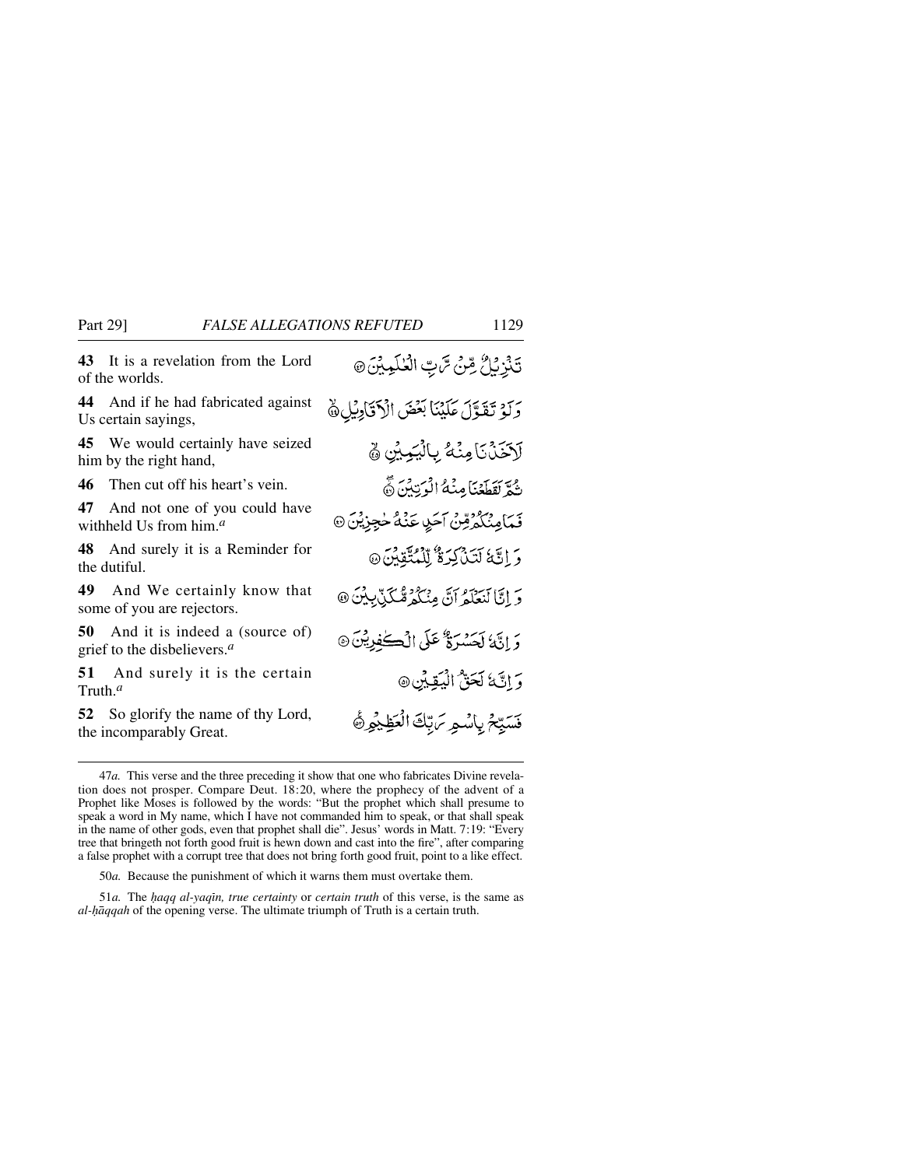**43** It is a revelation from the Lord of the worlds.

**44** And if he had fabricated against Us certain sayings,

**45** We would certainly have seized him by the right hand,

**46** Then cut off his heart's vein.

**47** And not one of you could have withheld Us from him.*<sup>a</sup>*

**48** And surely it is a Reminder for the dutiful.

**49** And We certainly know that some of you are rejectors.

**50** And it is indeed a (source of) grief to the disbelievers.*<sup>a</sup>*

**51** And surely it is the certain Truth.*<sup>a</sup>*

**52** So glorify the name of thy Lord, the incomparably Great.

تَنْزِبُلُّ مِّنْ تَرْبِّ الْعُلَمِيْنَ @ رَبِّهِ تَقَوَّلَ عَلَيْنَا بَعْضَ الْأَقَادِيْلِ﴾ لَاَخَذُنَا مِنْهُ بِالْيَمِيْنِ ﴾ ثُمَّ لَقَطَعْنَا مِنْهُ الْرَّتِيْنَ نَّ فَمَامِنْكُمُرْقِنْ آخَرِ، عَنْهُ خُجِزِيْنَ ۞ وَ إِنَّهُ لَتَذَكَّرَهُ لِّلْمُتَّقِينَ۞ وَ إِنَّا لَنَعْلَمُ أَنَّ مِنْكُمْ مُّكَذِّبِيْنَ @ وَ إِنَّهُ لَحَسْرَةٌ عَلَى الْكُوْيِينَ @ وَ اتَّ نَا كَحَقُّ الْمُقِينَ۞ فَسَيِّحْ بِاسْمِرِ مَرْبِّكَ الْعَظِيْمِرْ ﴾

50*a.* Because the punishment of which it warns them must overtake them.

51*a*. The *haqq al-yaqin, true certainty* or *certain truth* of this verse, is the same as *al-Ìqqah* of the opening verse. The ultimate triumph of Truth is a certain truth.

<sup>47</sup>*a.* This verse and the three preceding it show that one who fabricates Divine revelation does not prosper. Compare Deut. 18:20, where the prophecy of the advent of a Prophet like Moses is followed by the words: "But the prophet which shall presume to speak a word in My name, which I have not commanded him to speak, or that shall speak in the name of other gods, even that prophet shall die". Jesus' words in Matt. 7:19: "Every tree that bringeth not forth good fruit is hewn down and cast into the fire", after comparing a false prophet with a corrupt tree that does not bring forth good fruit, point to a like effect.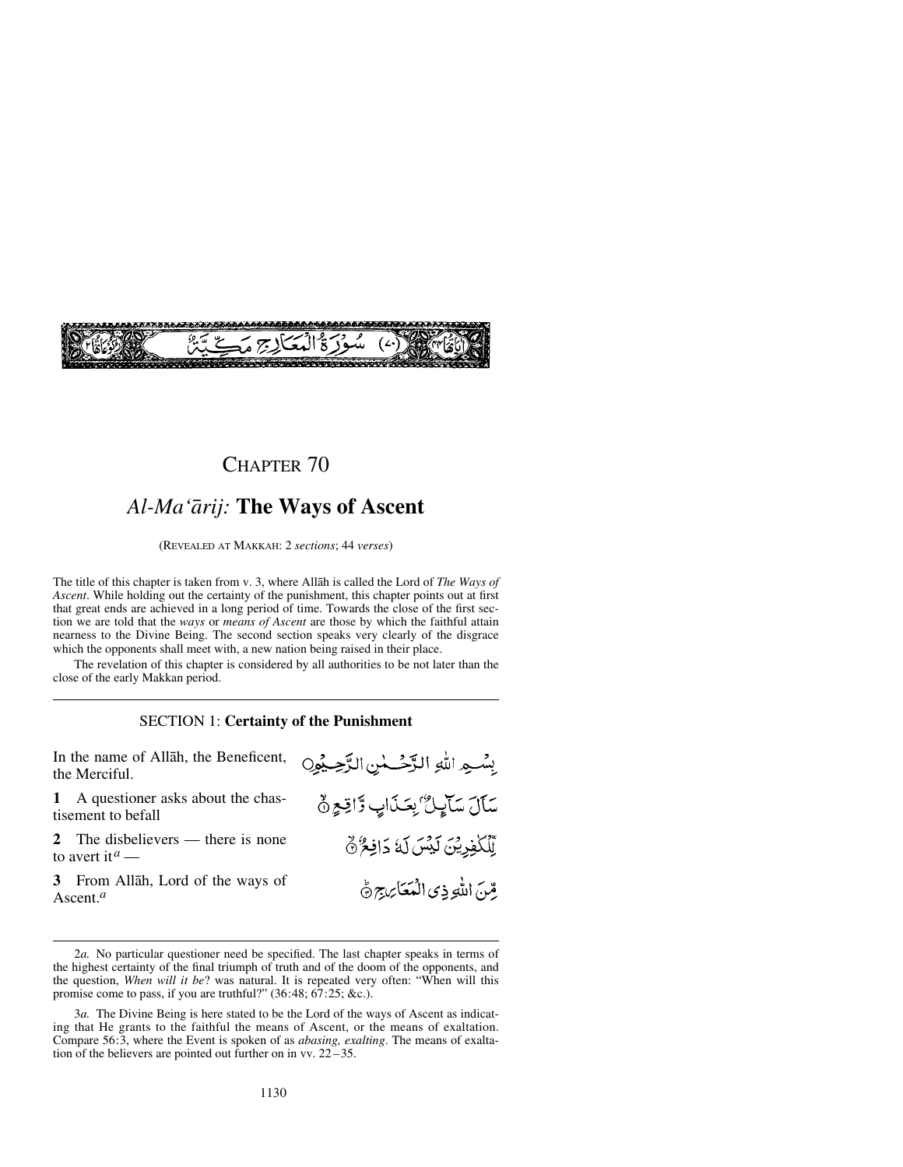

### CHAPTER 70

## *Al-Ma'årij:* **The Ways of Ascent**

(REVEALED AT MAKKAH: 2 *sections*; 44 *verses*)

The title of this chapter is taken from v. 3, where Allåh is called the Lord of *The Ways of Ascent*. While holding out the certainty of the punishment, this chapter points out at first that great ends are achieved in a long period of time. Towards the close of the first section we are told that the *ways* or *means of Ascent* are those by which the faithful attain nearness to the Divine Being. The second section speaks very clearly of the disgrace which the opponents shall meet with, a new nation being raised in their place.

The revelation of this chapter is considered by all authorities to be not later than the close of the early Makkan period.

### SECTION 1: **Certainty of the Punishment**

In the name of Allåh, the Beneficent, بِسْهِ اللهِ الزَّحْسُنِ الزَّحِيْوِنِ the Merciful. **1** A questioner asks about the chastisement to befall **2** The disbelievers — there is none to avert it*<sup>a</sup>* —

**3** From Allåh, Lord of the ways of Ascent.*<sup>a</sup>*

سَأَلَ سَآيِلٌ بِعَذَابٍ وَّاقِعِ ٥ لِّلْكَفِرِيْنَ لَيْسَ لَهُ دَافِعٌ ﴾ قِّنَ اللَّهِ ذِي الْمَعَامِجِ جُ

<sup>2</sup>*a.* No particular questioner need be specified. The last chapter speaks in terms of the highest certainty of the final triumph of truth and of the doom of the opponents, and the question, *When will it be*? was natural. It is repeated very often: "When will this promise come to pass, if you are truthful?" (36:48; 67:25; &c.).

<sup>3</sup>*a.* The Divine Being is here stated to be the Lord of the ways of Ascent as indicating that He grants to the faithful the means of Ascent, or the means of exaltation. Compare 56:3, where the Event is spoken of as *abasing, exalting*. The means of exaltation of the believers are pointed out further on in vv.  $22 - 35$ .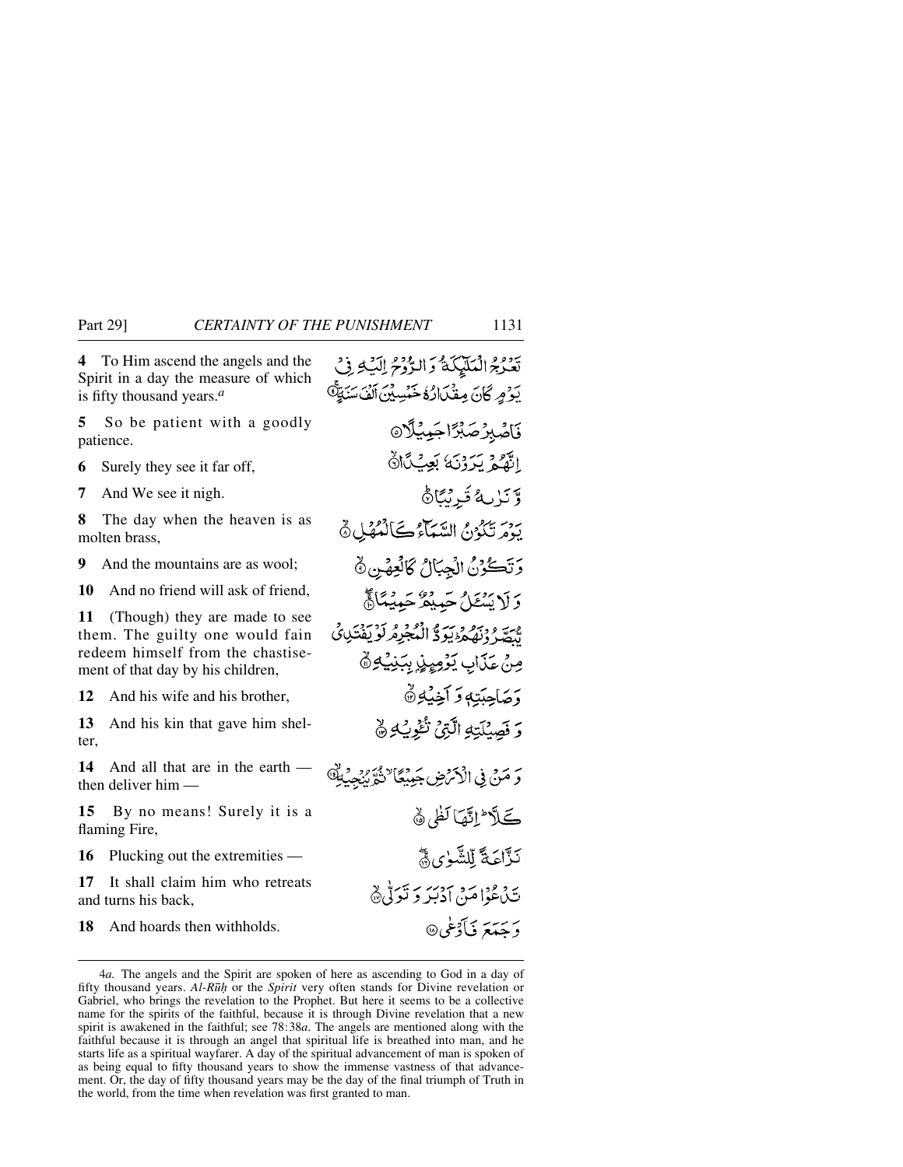**4** To Him ascend the angels and the Spirit in a day the measure of which is fifty thousand years.*<sup>a</sup>*

**5** So be patient with a goodly patience.

- **6** Surely they see it far off,
- **7** And We see it nigh.

**8** The day when the heaven is as molten brass,

**9** And the mountains are as wool;

**10** And no friend will ask of friend,

**11** (Though) they are made to see them. The guilty one would fain redeem himself from the chastisement of that day by his children,

**12** And his wife and his brother,

**13** And his kin that gave him shelter,

**14** And all that are in the earth then deliver him —

**15** By no means! Surely it is a flaming Fire,

**16** Plucking out the extremities —

**17** It shall claim him who retreats and turns his back,

**18** And hoards then withholds.

تَدْدِمُ الْمَلَيْكَةُ وَالدُّرْحُ اِلَيْهِ فِي يَوْمِرِ كَانَ مِفْكَانُ وَخَمْسِيْنَ آلَفَ سَنَةٍ هِ قَاصُبِرُصَبِّرًا جَيِّيْلًا انَّفْعُ يَدَدْنَهُ بَعِثْكَأَانَّ وَّ يَا مِهُ فَ رُبَّاهُ بِهِ بِهِ بِهِ مِنْ السَّيِّبَاءُ كَالْمُهْلِيِّ ثَمَّ وَتَكُوْنُ الْجِبَالُ كَالْعِهْنِ ﴾ دَ لَا يَسْعَلُ حَسِيقُهُ حَسِيمًا ﴾ مِيَّةٍ وَبِيَمْ وَبِيَّةٍ وَ إِنْجُهْدِهُ لَوْ يَفْتَدِنَى مِنْ عَذَابٍ يَوْمِيِهِذٍ بِبَنِيُهِ هُ وَصَاحِبَتِهِ وَ آَخِيْهِ ٢ وَ فَصِيْلَتِهِ الَّذِيْ نُّفُوبُهِ ﴾ وَ مَنْ فِى الْأَمْرِضِ جَمِيْكًا لِتُّوَّيْنِجِيْهِ كَلَّا إِنَّهَا لَظَى ﴾ نَذَّاعَةَ لَلشَّعْ) هُيَّ تَدْعُوْا مَنْ أَدْبَيْرِ وَ نَبْرَتُهِ ﴾ د ځ**ې**تمر ئي گوطي@

<sup>4</sup>*a.* The angels and the Spirit are spoken of here as ascending to God in a day of fifty thousand years. *Al-R∂√* or the *Spirit* very often stands for Divine revelation or Gabriel, who brings the revelation to the Prophet. But here it seems to be a collective name for the spirits of the faithful, because it is through Divine revelation that a new spirit is awakened in the faithful; see 78:38*a*. The angels are mentioned along with the faithful because it is through an angel that spiritual life is breathed into man, and he starts life as a spiritual wayfarer. A day of the spiritual advancement of man is spoken of as being equal to fifty thousand years to show the immense vastness of that advancement. Or, the day of fifty thousand years may be the day of the final triumph of Truth in the world, from the time when revelation was first granted to man.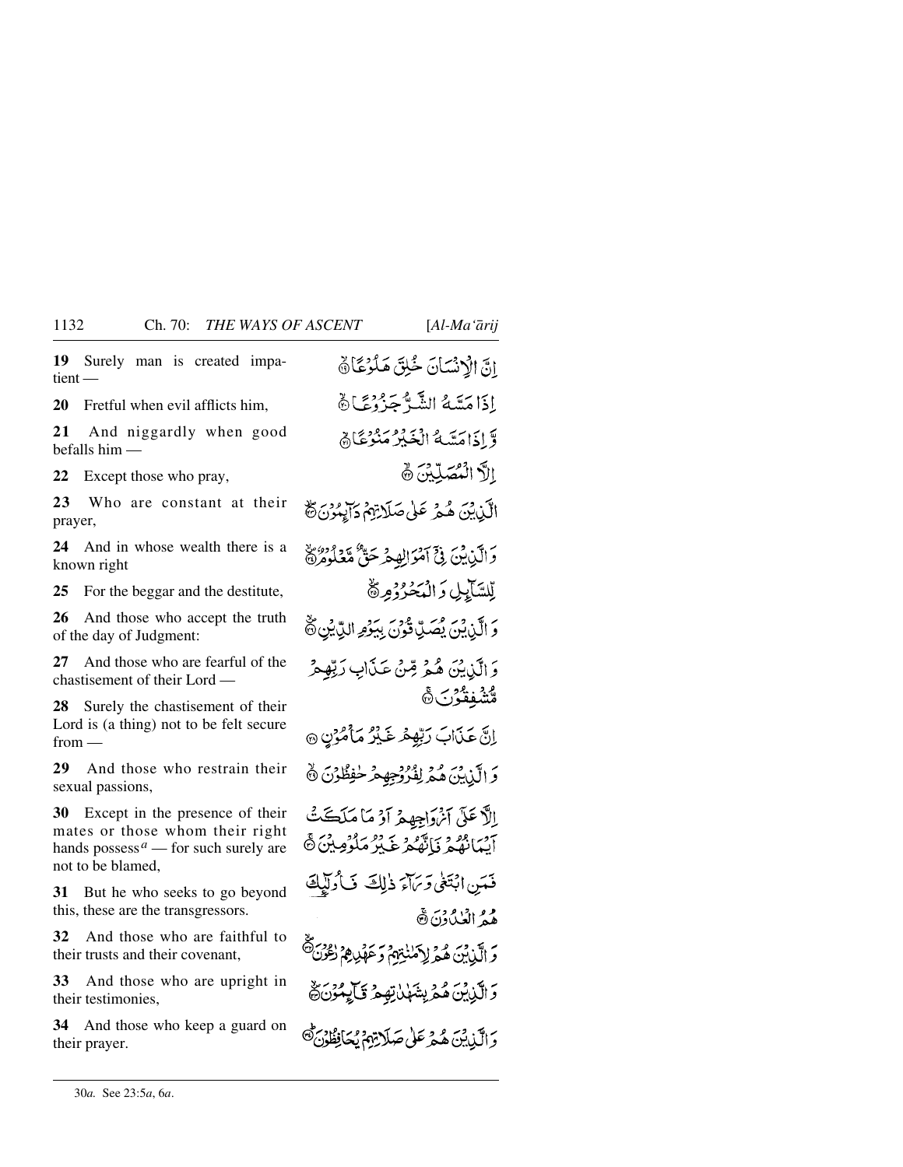**19** Surely man is created impatient —

**20** Fretful when evil afflicts him,

**21** And niggardly when good befalls him —

**22** Except those who pray,

**23** Who are constant at their prayer,

**24** And in whose wealth there is a known right

**25** For the beggar and the destitute,

**26** And those who accept the truth of the day of Judgment:

**27** And those who are fearful of the chastisement of their Lord —

**28** Surely the chastisement of their Lord is (a thing) not to be felt secure from —

**29** And those who restrain their sexual passions,

**30** Except in the presence of their mates or those whom their right hands possess<sup> $a$ </sup> — for such surely are not to be blamed,

**31** But he who seeks to go beyond this, these are the transgressors.

**32** And those who are faithful to their trusts and their covenant,

**33** And those who are upright in their testimonies,

**34** And those who keep a guard on their prayer.

انّ الْإِنْسَانَ خُلِقَ هَلُوْعًا فَي إذامَتَيْهُ الشَّهَّ جَدُّوْعًا ۞ وَّ إِذَامَتَهَهُ الْخَبْرُ مَنْزُعَنَّاهُمْ الاَّ الْمُصَلِّينَ ٢ الَّذِينَ هُمْ عَلَى صَلَاتِهِمْ دَالِمُوْنَ هُ دَ الَّذِينَ فِيَ آمُوَالِهِ هُمْ حَقَّ مَّعْلُومُرَةَ لِّلسَّآيِلِ وَالْمَخْرُوْمِرَةُ وَ الَّذِينَ يُصَلِّ قُونَ بِيَوْمِ الدِّيْنِ ثَّ وَ الَّذِينَ هُهُ مِّينٌ عَذَابٍ رَبِّهِمْ ەد يەرىبى<br>مىشفقىۇن& إِنَّ عَذَابَ رَبِّهِمْ غَذْرٌ مَأْمُرُنٍ @ وَ الَّذِينَ هُمْ لِفُرُوْجِهِمْ خَفِظُوْنَ ٥ إِلاَّ عَلَى آنُ دَاجِهِهِ أَوْ مَا مَلَڪَتُ آييمانهُمْ فَاتْقَمْ عَبْرُ مَلْوُمِينَ۞ فَعَينِ ابْتَغَىٰ وَبَاءَ ذٰلِكَ فَأُولِيْكَ هُمُ الْعُبْدُونَ ۞ وَ الَّذِينَ هُمَّ لِأَمْنٰتِهِمْ وَعَهْدِهِمْ رُوْرَى وَالَّذِينَ هُمْ بِشَهْلْ تِهِمْ قَالِمُوْنَ فَ وَالْبَايِنَ هُيمَ عَلَىٰ صَلَاتِهِمْ نُجَانِطُونَ ﴾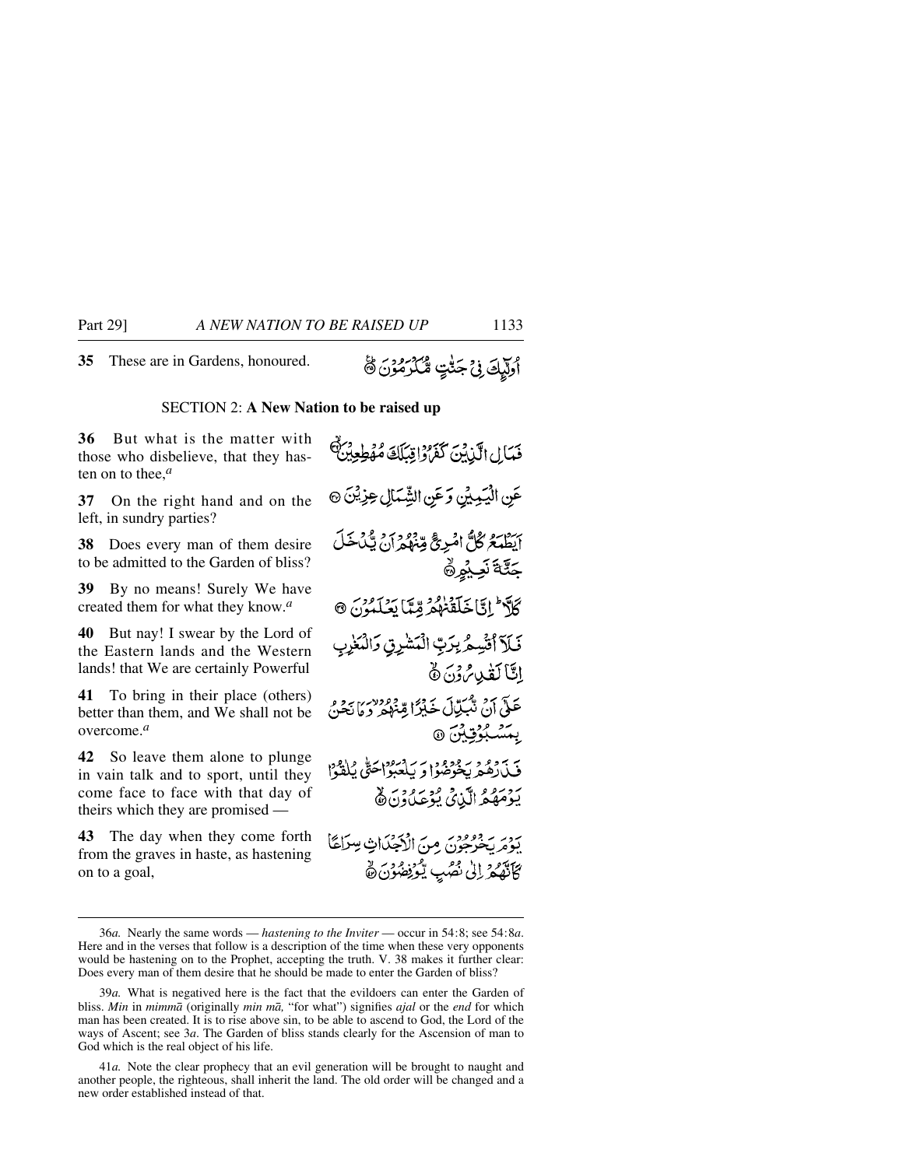**35** These are in Gardens, honoured.

#### SECTION 2: **A New Nation to be raised up**

**36** But what is the matter with those who disbelieve, that they hasten on to thee,*<sup>a</sup>*

**37** On the right hand and on the left, in sundry parties?

**38** Does every man of them desire to be admitted to the Garden of bliss?

**39** By no means! Surely We have created them for what they know.*<sup>a</sup>*

**40** But nay! I swear by the Lord of the Eastern lands and the Western lands! that We are certainly Powerful

**41** To bring in their place (others) better than them, and We shall not be overcome.*<sup>a</sup>*

**42** So leave them alone to plunge in vain talk and to sport, until they come face to face with that day of theirs which they are promised —

**43** The day when they come forth from the graves in haste, as hastening on to a goal,

فَمَالِ الَّذِينَ كَفَرَادِيْكَكَ مُهْطِعِينٌ عَنِ الْيَمِيْنِ وَعَنِ الشِّمَالِ عِزِيْنَ ۞ أَبْطَعَةً كُلُّ امْرِجٌ مِّنْهُمْ أَنْ يَكْ خَلِّ جَثَّةَ نَعِيْهِ۞ كَلَّا إِنَّا خَلَقْنَهُمْ وِّيِّا يَعْلَمُونَ @ فَلَا أَتَسِّمُ بِرَبِّ الْمَشْرِقِ وَالْمَغْرِ اتَّاكَفْدِسُ دْنَ نَّ عَلَىٰ أَنْ تَكْبَلُّ أَن خَيْرًا قِينُهُمْ وَهَا يَحْنُ بېتشبوق تونس @ فَيْدَدْهُمْ بِخَوْفِهُ؟ وَ بِٱجْبُرْاحَتَّى بِٱلْقَوْا بَوْمَهُمُّ الَّذِيْ يُوْعَلُوْنَ ﴾ يوري دووري مِنَ الْأَجْدَاثِ سِرَاعًا كَأَنَّهُمْ إِلَىٰ نُصُبِ يُكْوَنِضُوْنَ نَّ

<sup>36</sup>*a.* Nearly the same words — *hastening to the Inviter* — occur in 54:8; see 54:8*a*. Here and in the verses that follow is a description of the time when these very opponents would be hastening on to the Prophet, accepting the truth. V. 38 makes it further clear: Does every man of them desire that he should be made to enter the Garden of bliss?

<sup>39</sup>*a.* What is negatived here is the fact that the evildoers can enter the Garden of bliss. *Min* in *mimmå* (originally *min må,* "for what") signifies *ajal* or the *end* for which man has been created. It is to rise above sin, to be able to ascend to God, the Lord of the ways of Ascent; see 3*a*. The Garden of bliss stands clearly for the Ascension of man to God which is the real object of his life.

<sup>41</sup>*a.* Note the clear prophecy that an evil generation will be brought to naught and another people, the righteous, shall inherit the land. The old order will be changed and a new order established instead of that.